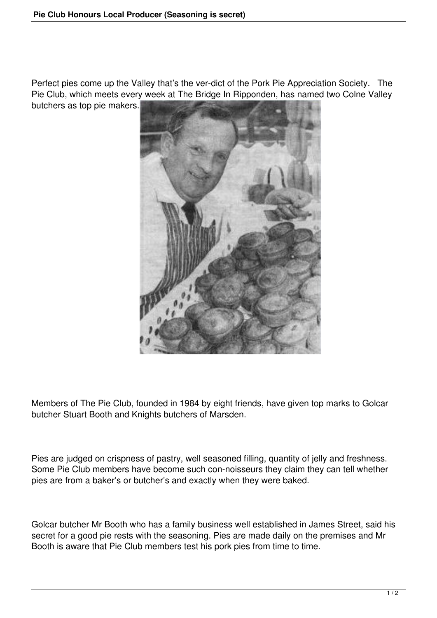Perfect pies come up the Valley that's the ver-dict of the Pork Pie Appreciation Society. The Pie Club, which meets every week at The Bridge In Ripponden, has named two Colne Valley butchers as top pie makers.



Members of The Pie Club, founded in 1984 by eight friends, have given top marks to Golcar butcher Stuart Booth and Knights butchers of Marsden.

Pies are judged on crispness of pastry, well seasoned filling, quantity of jelly and freshness. Some Pie Club members have become such con-noisseurs they claim they can tell whether pies are from a baker's or butcher's and exactly when they were baked.

Golcar butcher Mr Booth who has a family business well established in James Street, said his secret for a good pie rests with the seasoning. Pies are made daily on the premises and Mr Booth is aware that Pie Club members test his pork pies from time to time.